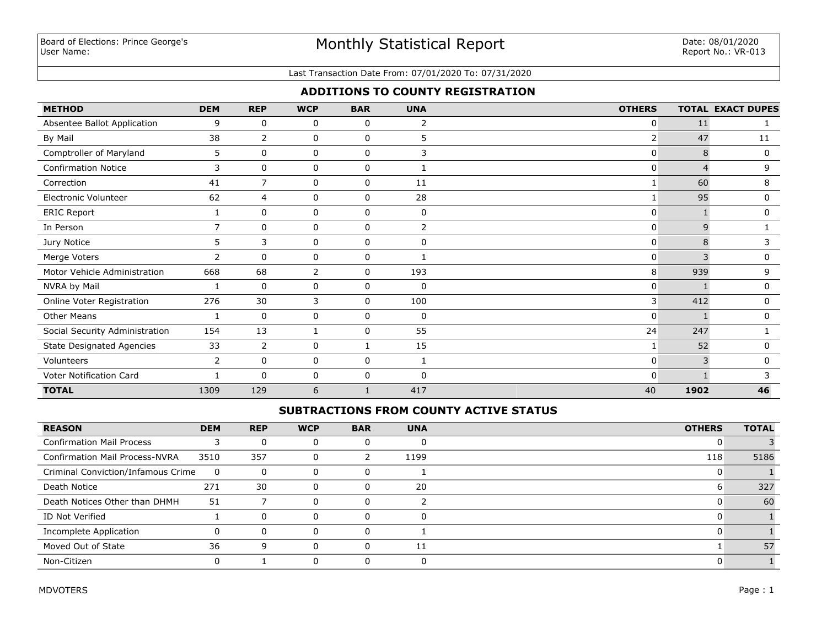# Monthly Statistical Report

#### Last Transaction Date From: 07/01/2020 To: 07/31/2020

## **ADDITIONS TO COUNTY REGISTRATION**

| <b>METHOD</b>                    | <b>DEM</b>     | <b>REP</b>     | <b>WCP</b>     | <b>BAR</b>  | <b>UNA</b>   | <b>OTHERS</b>  |      | <b>TOTAL EXACT DUPES</b> |
|----------------------------------|----------------|----------------|----------------|-------------|--------------|----------------|------|--------------------------|
| Absentee Ballot Application      | 9              | 0              | 0              | 0           | 2            | 0              | 11   |                          |
| By Mail                          | 38             | $\overline{2}$ | 0              | $\mathbf 0$ | 5            | $\overline{2}$ | 47   | 11                       |
| Comptroller of Maryland          | 5              | 0              | 0              | 0           | 3            | $\overline{0}$ | 8    | $\mathbf 0$              |
| <b>Confirmation Notice</b>       | 3              | $\mathbf 0$    | 0              | 0           |              | 0              |      | 9                        |
| Correction                       | 41             | $\overline{7}$ | 0              | 0           | 11           |                | 60   | 8                        |
| Electronic Volunteer             | 62             | 4              | 0              | 0           | 28           |                | 95   | $\mathbf 0$              |
| <b>ERIC Report</b>               | $\mathbf{1}$   | $\Omega$       | 0              | $\mathbf 0$ | $\mathbf 0$  | $\mathbf{0}$   |      | 0                        |
| In Person                        | $\overline{7}$ | 0              | 0              | 0           | 2            | 0              | 9    |                          |
| Jury Notice                      | 5              | 3              | 0              | $\mathbf 0$ | $\mathbf{0}$ | $\mathbf{0}$   | 8    | 3                        |
| Merge Voters                     | 2              | $\mathbf{0}$   | 0              | 0           |              | $\overline{0}$ | 3    | 0                        |
| Motor Vehicle Administration     | 668            | 68             | $\overline{2}$ | $\Omega$    | 193          | 8              | 939  | 9                        |
| NVRA by Mail                     | -1             | $\mathbf 0$    | 0              | $\mathbf 0$ | 0            | 0              |      | $\mathbf 0$              |
| Online Voter Registration        | 276            | 30             | 3              | 0           | 100          | 3              | 412  | $\mathbf 0$              |
| <b>Other Means</b>               | 1              | $\mathbf 0$    | 0              | $\mathbf 0$ | 0            | $\mathbf{0}$   |      | $\mathbf 0$              |
| Social Security Administration   | 154            | 13             |                | $\mathbf 0$ | 55           | 24             | 247  |                          |
| <b>State Designated Agencies</b> | 33             | $\overline{2}$ | 0              |             | 15           |                | 52   | 0                        |
| Volunteers                       | 2              | $\mathbf{0}$   | 0              | 0           |              | $\mathbf{0}$   | 3    | $\mathbf{0}$             |
| Voter Notification Card          |                | $\Omega$       | 0              | 0           | $\mathbf{0}$ | $\Omega$       |      |                          |
| <b>TOTAL</b>                     | 1309           | 129            | 6              |             | 417          | 40             | 1902 | 46                       |

## **SUBTRACTIONS FROM COUNTY ACTIVE STATUS**

| <b>REASON</b>                         | <b>DEM</b> | <b>REP</b> | <b>WCP</b> | <b>BAR</b> | <b>UNA</b> | <b>OTHERS</b> | <b>TOTAL</b> |
|---------------------------------------|------------|------------|------------|------------|------------|---------------|--------------|
| <b>Confirmation Mail Process</b>      |            |            |            |            |            |               |              |
| <b>Confirmation Mail Process-NVRA</b> | 3510       | 357        | 0          |            | 1199       | 118           | 5186         |
| Criminal Conviction/Infamous Crime    | 0          | $\Omega$   |            | U          |            |               |              |
| Death Notice                          | 271        | 30         |            | υ          | 20         | ь             | 327          |
| Death Notices Other than DHMH         | 51         |            |            | U          |            |               | 60           |
| ID Not Verified                       |            |            |            |            |            |               |              |
| Incomplete Application                |            |            |            |            |            |               |              |
| Moved Out of State                    | 36         | q          |            | $\Omega$   | 11         |               | 57           |
| Non-Citizen                           |            |            |            | -0         |            |               |              |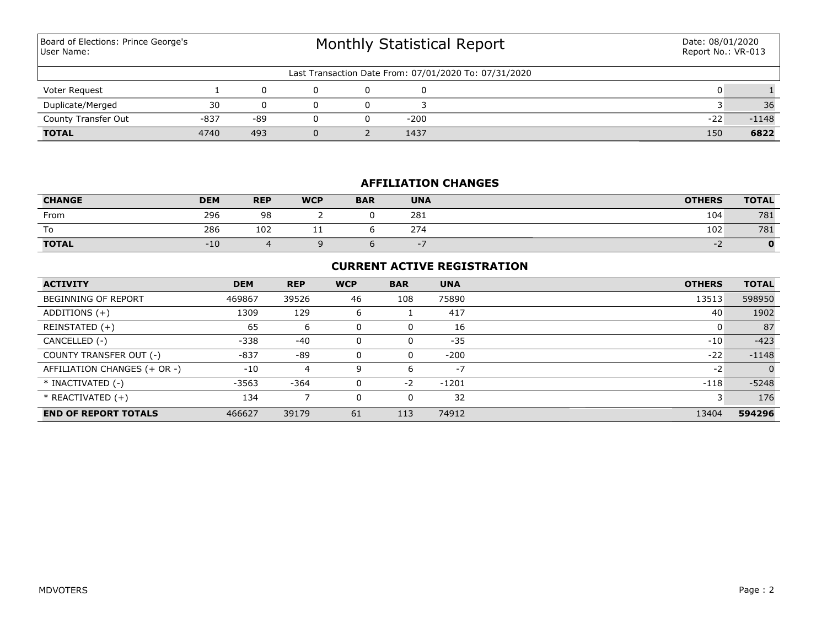Monthly Statistical Report Last Transaction Date From: 07/01/2020 To: 07/31/2020 Board of Elections: Prince George's User Name: Date: 08/01/2020 Report No.: VR-013 Voter Request 1 0 0 0 0 0 1 **TOTAL** 4740 493 0 2 1437 150 **6822** County Transfer Out  $-837$   $-89$  0 0  $-200$  -200 -200 -22 -1148 Duplicate/Merged 30 0 0 0 3 36 36

## **AFFILIATION CHANGES**

| <b>CHANGE</b> | <b>DEM</b> | <b>REP</b> | <b>WCP</b> | <b>BAR</b> | <b>UNA</b> | <b>OTHERS</b>            | <b>TOTAL</b> |
|---------------|------------|------------|------------|------------|------------|--------------------------|--------------|
| From          | 296        | 98         |            |            | 281        | 104                      | 781          |
| To            | 286        | 102        | . .        |            | 274        | 102                      | 781          |
| <b>TOTAL</b>  | -10        |            |            |            |            | $\overline{\phantom{0}}$ |              |

## **CURRENT ACTIVE REGISTRATION**

| <b>ACTIVITY</b>              | <b>DEM</b> | <b>REP</b> | <b>WCP</b> | <b>BAR</b> | <b>UNA</b> | <b>OTHERS</b> | <b>TOTAL</b> |
|------------------------------|------------|------------|------------|------------|------------|---------------|--------------|
| <b>BEGINNING OF REPORT</b>   | 469867     | 39526      | 46         | 108        | 75890      | 13513         | 598950       |
| ADDITIONS $(+)$              | 1309       | 129        | 6          |            | 417        | 40            | 1902         |
| REINSTATED (+)               | 65         | 6          | 0          | 0          | 16         |               | 87           |
| CANCELLED (-)                | $-338$     | $-40$      | 0          | 0          | $-35$      | $-10$         | $-423$       |
| COUNTY TRANSFER OUT (-)      | $-837$     | $-89$      | 0          | 0          | $-200$     | $-22$         | $-1148$      |
| AFFILIATION CHANGES (+ OR -) | $-10$      | 4          | 9          | 6          | $-7$       | $-2$          | $\Omega$     |
| * INACTIVATED (-)            | $-3563$    | $-364$     | 0          | $-2$       | $-1201$    | $-118$        | $-5248$      |
| $*$ REACTIVATED $(+)$        | 134        |            | 0          | 0          | 32         |               | 176          |
| <b>END OF REPORT TOTALS</b>  | 466627     | 39179      | 61         | 113        | 74912      | 13404         | 594296       |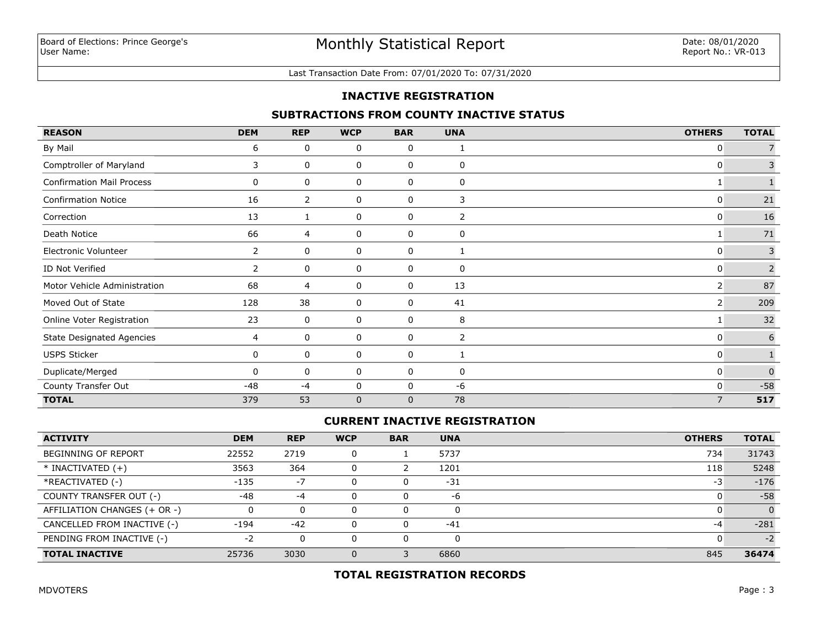#### Last Transaction Date From: 07/01/2020 To: 07/31/2020

### **INACTIVE REGISTRATION**

#### **SUBTRACTIONS FROM COUNTY INACTIVE STATUS**

| <b>REASON</b>                    | <b>DEM</b>     | <b>REP</b> | <b>WCP</b>  | <b>BAR</b>   | <b>UNA</b>     | <b>OTHERS</b>  | <b>TOTAL</b>            |
|----------------------------------|----------------|------------|-------------|--------------|----------------|----------------|-------------------------|
| By Mail                          | 6              | 0          | 0           | 0            | 1              | 0              |                         |
| Comptroller of Maryland          | 3              | 0          | 0           | 0            | 0              | 0              | $\mathsf{3}$            |
| <b>Confirmation Mail Process</b> | 0              | 0          | 0           | 0            | 0              |                |                         |
| <b>Confirmation Notice</b>       | 16             | 2          | 0           | 0            | 3              | 0              | $21\,$                  |
| Correction                       | 13             |            | 0           | 0            | $\overline{2}$ | 0              | 16                      |
| Death Notice                     | 66             | 4          | 0           | 0            | 0              |                | $71\,$                  |
| Electronic Volunteer             | 2              | 0          | 0           | 0            |                | 0              | $\overline{\mathbf{3}}$ |
| ID Not Verified                  | $\overline{2}$ | 0          | 0           | 0            | $\mathbf 0$    | 0              | $\overline{2}$          |
| Motor Vehicle Administration     | 68             | 4          | 0           | $\mathbf 0$  | 13             | 2              | 87                      |
| Moved Out of State               | 128            | 38         | 0           | 0            | 41             | 2              | 209                     |
| Online Voter Registration        | 23             | 0          | 0           | 0            | 8              |                | 32                      |
| <b>State Designated Agencies</b> | $\overline{4}$ | 0          | 0           | 0            | 2              | 0              | 6                       |
| <b>USPS Sticker</b>              | 0              | 0          | 0           | 0            | 1              | 0              |                         |
| Duplicate/Merged                 | 0              | 0          | 0           | 0            | 0              | 0              | $\overline{0}$          |
| County Transfer Out              | $-48$          | $-4$       | 0           | 0            | $-6$           | 0              | $-58$                   |
| <b>TOTAL</b>                     | 379            | 53         | $\mathbf 0$ | $\mathbf{0}$ | 78             | $\overline{7}$ | 517                     |

### **CURRENT INACTIVE REGISTRATION**

| <b>ACTIVITY</b>              | <b>DEM</b> | <b>REP</b> | <b>WCP</b> | <b>BAR</b> | <b>UNA</b> | <b>OTHERS</b> | <b>TOTAL</b> |
|------------------------------|------------|------------|------------|------------|------------|---------------|--------------|
| <b>BEGINNING OF REPORT</b>   | 22552      | 2719       |            |            | 5737       | 734           | 31743        |
| $*$ INACTIVATED $(+)$        | 3563       | 364        |            |            | 1201       | 118           | 5248         |
| *REACTIVATED (-)             | $-135$     | $-7$       |            |            | $-31$      | -3            | $-176$       |
| COUNTY TRANSFER OUT (-)      | $-48$      | $-4$       |            |            | -6         |               | $-58$        |
| AFFILIATION CHANGES (+ OR -) |            | 0          |            |            |            |               | $\Omega$     |
| CANCELLED FROM INACTIVE (-)  | $-194$     | $-42$      |            |            | $-41$      | -4            | $-281$       |
| PENDING FROM INACTIVE (-)    | $-2$       | 0          |            | 0          | 0          |               | $-2$         |
| <b>TOTAL INACTIVE</b>        | 25736      | 3030       |            |            | 6860       | 845           | 36474        |

## **TOTAL REGISTRATION RECORDS**